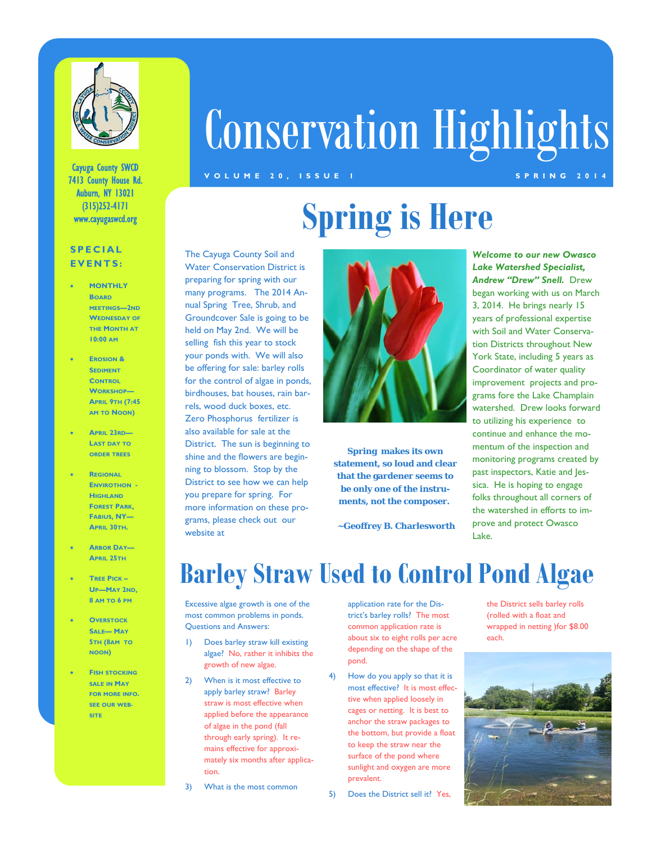

Cayuga County SWCD 7413 County House Rd. Auburn, NY 13021 (315)252-4171 www.cayugaswcd.org

#### **SPECIAL EVENTS:**

- **MONTHLY BOARD MEETINGS—2ND WEDNESDAY OF THE MONTH AT 10:00 AM**
- **EROSION & SEDIMENT CONTROL WORKSHOP— APRIL 9TH (7:45 AM TO NOON)**
- **APRIL 23RD— LAST DAY TO ORDER TREES**
- **REGIONAL ENVIROTHON HIGHLAND FOREST PARK, FABIUS, NY— APRIL 30TH.**
- **ARBOR DAY— APRIL 25TH**
- **TREE PICK – UP—MAY 2ND, 8 AM TO 6 PM**
- **OVERSTOCK SALE— MAY 5TH (8AM TO NOON)**
- **FISH STOCKING SALE IN MAY FOR MORE INFO. SEE OUR WEB-SITE**

# Conservation Highlights

#### **VOLUME 20, ISSUE 1 SPRING 2014**

## **Spring is Here**

The Cayuga County Soil and Water Conservation District is preparing for spring with our many programs. The 2014 Annual Spring Tree, Shrub, and Groundcover Sale is going to be held on May 2nd. We will be selling fish this year to stock your ponds with. We will also be offering for sale: barley rolls for the control of algae in ponds, birdhouses, bat houses, rain barrels, wood duck boxes, etc. Zero Phosphorus fertilizer is also available for sale at the District. The sun is beginning to shine and the flowers are beginning to blossom. Stop by the District to see how we can help you prepare for spring. For more information on these programs, please check out our website at



**Spring makes its own statement, so loud and clear that the gardener seems to be only one of the instruments, not the composer.** 

 **~Geoffrey B. Charlesworth**

*Welcome to our new Owasco Lake Watershed Specialist, Andrew "Drew" Snell.* Drew began working with us on March 3, 2014. He brings nearly 15 years of professional expertise with Soil and Water Conservation Districts throughout New York State, including 5 years as Coordinator of water quality improvement projects and programs fore the Lake Champlain watershed. Drew looks forward to utilizing his experience to continue and enhance the momentum of the inspection and monitoring programs created by past inspectors, Katie and Jessica. He is hoping to engage folks throughout all corners of the watershed in efforts to improve and protect Owasco Lake.

### **Barley Straw Used to Control Pond Algae**

Excessive algae growth is one of the most common problems in ponds. Questions and Answers:

1) Does barley straw kill existing algae? No, rather it inhibits the growth of new algae.

2) When is it most effective to apply barley straw? Barley straw is most effective when applied before the appearance of algae in the pond (fall through early spring). It remains effective for approximately six months after application.

3) What is the most common

application rate for the District's barley rolls? The most common application rate is about six to eight rolls per acre depending on the shape of the pond.

4) How do you apply so that it is most effective? It is most effective when applied loosely in cages or netting. It is best to anchor the straw packages to the bottom, but provide a float to keep the straw near the surface of the pond where sunlight and oxygen are more prevalent.

5) Does the District sell it? Yes,

the District sells barley rolls (rolled with a float and wrapped in netting )for \$8.00 each.